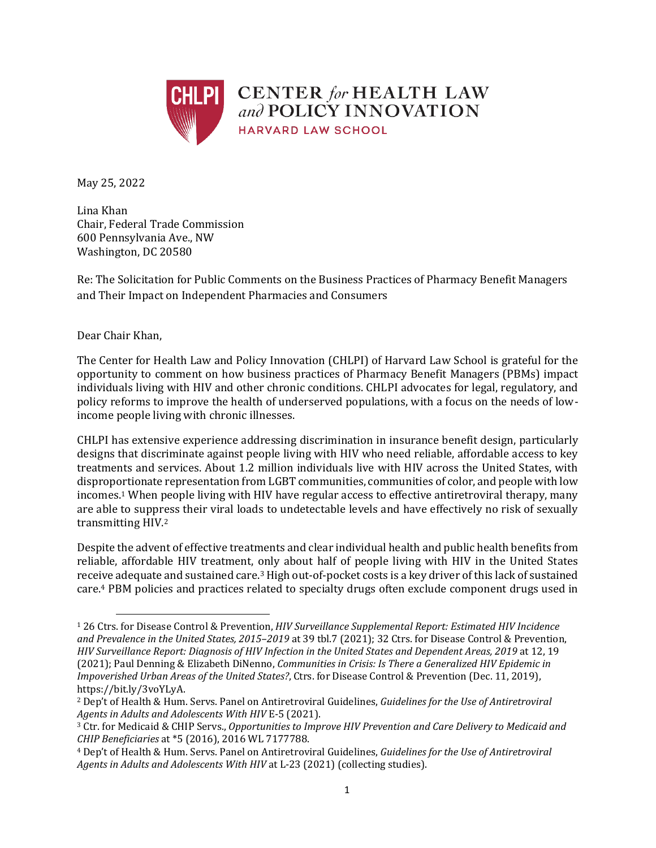

**CENTER** for HEALTH LAW and POLICY INNOVATION **HARVARD LAW SCHOOL** 

May 25, 2022

Lina Khan Chair, Federal Trade Commission 600 Pennsylvania Ave., NW Washington, DC 20580

Re: The Solicitation for Public Comments on the Business Practices of Pharmacy Benefit Managers and Their Impact on Independent Pharmacies and Consumers

## Dear Chair Khan,

<span id="page-0-0"></span>

The Center for Health Law and Policy Innovation (CHLPI) of Harvard Law School is grateful for the opportunity to comment on how business practices of Pharmacy Benefit Managers (PBMs) impact individuals living with HIV and other chronic conditions. CHLPI advocates for legal, regulatory, and policy reforms to improve the health of underserved populations, with a focus on the needs of lowincome people living with chronic illnesses.

CHLPI has extensive experience addressing discrimination in insurance benefit design, particularly designs that discriminate against people living with HIV who need reliable, affordable access to key treatments and services. About 1.2 million individuals live with HIV across the United States, with disproportionate representation from LGBT communities, communities of color, and people with low incomes. <sup>1</sup> When people living with HIV have regular access to effective antiretroviral therapy, many are able to suppress their viral loads to undetectable levels and have effectively no risk of sexually transmitting HIV.<sup>2</sup>

Despite the advent of effective treatments and clear individual health and public health benefits from reliable, affordable HIV treatment, only about half of people living with HIV in the United States receive adequate and sustained care.<sup>3</sup> High out-of-pocket costs is a key driver of this lack of sustained care.<sup>4</sup> PBM policies and practices related to specialty drugs often exclude component drugs used in

<sup>1</sup> 26 Ctrs. for Disease Control & Prevention, *HIV Surveillance Supplemental Report: Estimated HIV Incidence and Prevalence in the United States, 2015–2019* at 39 tbl.7 (2021); 32 Ctrs. for Disease Control & Prevention, *HIV Surveillance Report: Diagnosis of HIV Infection in the United States and Dependent Areas, 2019* at 12, 19 (2021); Paul Denning & Elizabeth DiNenno, *Communities in Crisis: Is There a Generalized HIV Epidemic in Impoverished Urban Areas of the United States?*, Ctrs. for Disease Control & Prevention (Dec. 11, 2019), https://bit.ly/3voYLyA.

<sup>2</sup> Dep't of Health & Hum. Servs. Panel on Antiretroviral Guidelines, *Guidelines for the Use of Antiretroviral Agents in Adults and Adolescents With HIV* E-5 (2021).

<sup>3</sup> Ctr. for Medicaid & CHIP Servs., *Opportunities to Improve HIV Prevention and Care Delivery to Medicaid and CHIP Beneficiaries* at \*5 (2016), 2016 WL 7177788.

<sup>4</sup> Dep't of Health & Hum. Servs. Panel on Antiretroviral Guidelines, *Guidelines for the Use of Antiretroviral Agents in Adults and Adolescents With HIV* at L-23 (2021) (collecting studies).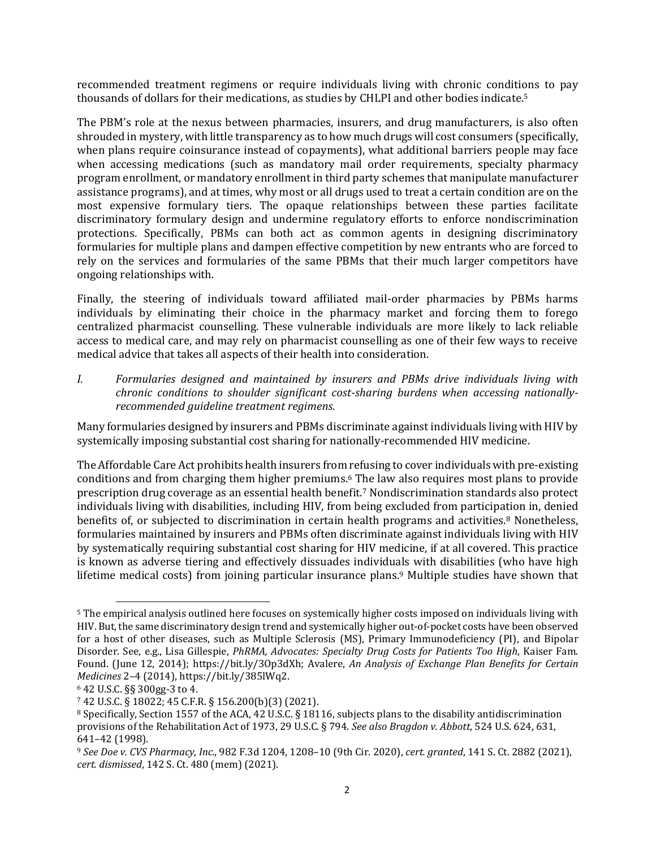recommended treatment regimens or require individuals living with chronic conditions to pay thousands of dollars for their medications, as studies by CHLPI and other bodies indicate.<sup>5</sup>

The PBM's role at the nexus between pharmacies, insurers, and drug manufacturers, is also often shrouded in mystery, with little transparency as to how much drugs will cost consumers (specifically, when plans require coinsurance instead of copayments), what additional barriers people may face when accessing medications (such as mandatory mail order requirements, specialty pharmacy program enrollment, or mandatory enrollment in third party schemes that manipulate manufacturer assistance programs), and at times, why most or all drugs used to treat a certain condition are on the most expensive formulary tiers. The opaque relationships between these parties facilitate discriminatory formulary design and undermine regulatory efforts to enforce nondiscrimination protections. Specifically, PBMs can both act as common agents in designing discriminatory formularies for multiple plans and dampen effective competition by new entrants who are forced to rely on the services and formularies of the same PBMs that their much larger competitors have ongoing relationships with.

Finally, the steering of individuals toward affiliated mail-order pharmacies by PBMs harms individuals by eliminating their choice in the pharmacy market and forcing them to forego centralized pharmacist counselling. These vulnerable individuals are more likely to lack reliable access to medical care, and may rely on pharmacist counselling as one of their few ways to receive medical advice that takes all aspects of their health into consideration.

*I. Formularies designed and maintained by insurers and PBMs drive individuals living with chronic conditions to shoulder significant cost-sharing burdens when accessing nationallyrecommended guideline treatment regimens.* 

Many formularies designed by insurers and PBMs discriminate against individuals living with HIV by systemically imposing substantial cost sharing for nationally-recommended HIV medicine.

The Affordable Care Act prohibits health insurers from refusing to cover individuals with pre-existing conditions and from charging them higher premiums.<sup>6</sup> The law also requires most plans to provide prescription drug coverage as an essential health benefit.<sup>7</sup> Nondiscrimination standards also protect individuals living with disabilities, including HIV, from being excluded from participation in, denied benefits of, or subjected to discrimination in certain health programs and activities. <sup>8</sup> Nonetheless, formularies maintained by insurers and PBMs often discriminate against individuals living with HIV by systematically requiring substantial cost sharing for HIV medicine, if at all covered. This practice is known as adverse tiering and effectively dissuades individuals with disabilities (who have high lifetime medical costs) from joining particular insurance plans. <sup>9</sup> Multiple studies have shown that

<sup>5</sup> The empirical analysis outlined here focuses on systemically higher costs imposed on individuals living with HIV. But, the same discriminatory design trend and systemically higher out-of-pocket costs have been observed for a host of other diseases, such as Multiple Sclerosis (MS), Primary Immunodeficiency (PI), and Bipolar Disorder. See, e.g., Lisa Gillespie, *PhRMA, Advocates: Specialty Drug Costs for Patients Too High*, Kaiser Fam. Found. (June 12, 2014); https://bit.ly/3Op3dXh; Avalere, *An Analysis of Exchange Plan Benefits for Certain Medicines* 2–4 (2014), https://bit.ly/385lWq2.

<sup>6</sup> 42 U.S.C. §§ 300gg-3 to 4.

<sup>7</sup> 42 U.S.C. § 18022; 45 C.F.R. § 156.200(b)(3) (2021).

<sup>8</sup> Specifically, Section 1557 of the ACA, 42 U.S.C. § 18116, subjects plans to the disability antidiscrimination provisions of the Rehabilitation Act of 1973, 29 U.S.C. § 794. *See also Bragdon v. Abbott*, 524 U.S. 624, 631, 641–42 (1998).

<sup>9</sup> *See Doe v. CVS Pharmacy, Inc.*, 982 F.3d 1204, 1208–10 (9th Cir. 2020), *cert. granted*, 141 S. Ct. 2882 (2021), *cert. dismissed*, 142 S. Ct. 480 (mem) (2021).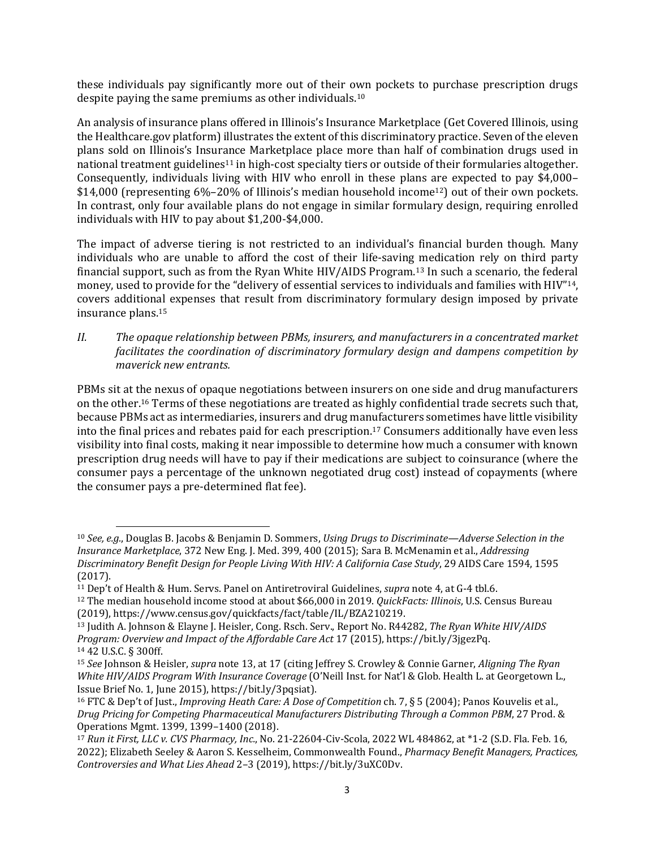these individuals pay significantly more out of their own pockets to purchase prescription drugs despite paying the same premiums as other individuals. 10

An analysis of insurance plans offered in Illinois's Insurance Marketplace (Get Covered Illinois, using the Healthcare.gov platform) illustrates the extent of this discriminatory practice. Seven of the eleven plans sold on Illinois's Insurance Marketplace place more than half of combination drugs used in national treatment guidelines<sup>11</sup> in high-cost specialty tiers or outside of their formularies altogether. Consequently, individuals living with HIV who enroll in these plans are expected to pay \$4,000– \$14,000 (representing 6%–20% of Illinois's median household income12) out of their own pockets. In contrast, only four available plans do not engage in similar formulary design, requiring enrolled individuals with HIV to pay about \$1,200-\$4,000.

<span id="page-2-0"></span>The impact of adverse tiering is not restricted to an individual's financial burden though. Many individuals who are unable to afford the cost of their life-saving medication rely on third party financial support, such as from the Ryan White HIV/AIDS Program.<sup>13</sup> In such a scenario, the federal money, used to provide for the "delivery of essential services to individuals and families with HIV"14, covers additional expenses that result from discriminatory formulary design imposed by private insurance plans. 15

*II. The opaque relationship between PBMs, insurers, and manufacturers in a concentrated market facilitates the coordination of discriminatory formulary design and dampens competition by maverick new entrants.* 

<span id="page-2-1"></span>PBMs sit at the nexus of opaque negotiations between insurers on one side and drug manufacturers on the other. <sup>16</sup> Terms of these negotiations are treated as highly confidential trade secrets such that, because PBMs act as intermediaries, insurers and drug manufacturers sometimes have little visibility into the final prices and rebates paid for each prescription. <sup>17</sup> Consumers additionally have even less visibility into final costs, making it near impossible to determine how much a consumer with known prescription drug needs will have to pay if their medications are subject to coinsurance (where the consumer pays a percentage of the unknown negotiated drug cost) instead of copayments (where the consumer pays a pre-determined flat fee).

<sup>10</sup> *See, e.g.*, Douglas B. Jacobs & Benjamin D. Sommers, *Using Drugs to Discriminate—Adverse Selection in the Insurance Marketplace*, 372 New Eng. J. Med. 399, 400 (2015); Sara B. McMenamin et al., *Addressing Discriminatory Benefit Design for People Living With HIV: A California Case Study*, 29 AIDS Care 1594, 1595 (2017).

<sup>11</sup> Dep't of Health & Hum. Servs. Panel on Antiretroviral Guidelines, *supra* note [4,](#page-0-0) at G-4 tbl.6.

<sup>12</sup> The median household income stood at about \$66,000 in 2019. *QuickFacts: Illinois*, U.S. Census Bureau (2019), https://www.census.gov/quickfacts/fact/table/IL/BZA210219.

<sup>13</sup> Judith A. Johnson & Elayne J. Heisler, Cong. Rsch. Serv., Report No. R44282, *The Ryan White HIV/AIDS Program: Overview and Impact of the Affordable Care Act* 17 (2015), https://bit.ly/3jgezPq. <sup>14</sup> 42 U.S.C. § 300ff.

<sup>15</sup> *See* Johnson & Heisler, *supra* not[e 13,](#page-2-0) at 17 (citing Jeffrey S. Crowley & Connie Garner, *Aligning The Ryan White HIV/AIDS Program With Insurance Coverage* (O'Neill Inst. for Nat'l & Glob. Health L. at Georgetown L., Issue Brief No. 1, June 2015), https://bit.ly/3pqsiat).

<sup>16</sup> FTC & Dep't of Just., *Improving Heath Care: A Dose of Competition* ch. 7, § 5 (2004); Panos Kouvelis et al., *Drug Pricing for Competing Pharmaceutical Manufacturers Distributing Through a Common PBM*, 27 Prod. & Operations Mgmt. 1399, 1399–1400 (2018).

<sup>17</sup> *Run it First, LLC v. CVS Pharmacy, Inc.*, No. 21-22604-Civ-Scola, 2022 WL 484862, at \*1-2 (S.D. Fla. Feb. 16, 2022); Elizabeth Seeley & Aaron S. Kesselheim, Commonwealth Found., *Pharmacy Benefit Managers, Practices, Controversies and What Lies Ahead* 2–3 (2019), https://bit.ly/3uXC0Dv.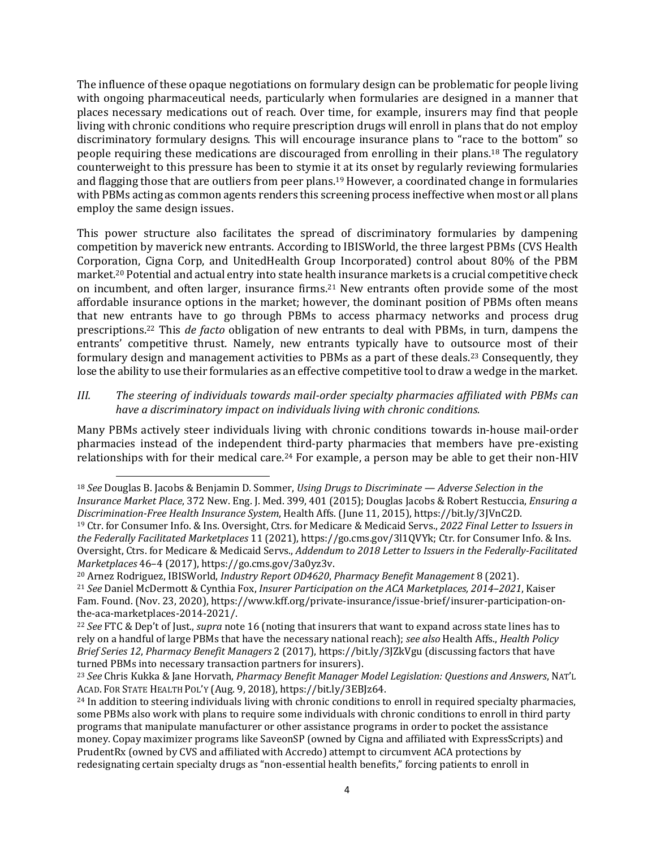The influence of these opaque negotiations on formulary design can be problematic for people living with ongoing pharmaceutical needs, particularly when formularies are designed in a manner that places necessary medications out of reach. Over time, for example, insurers may find that people living with chronic conditions who require prescription drugs will enroll in plans that do not employ discriminatory formulary designs. This will encourage insurance plans to "race to the bottom" so people requiring these medications are discouraged from enrolling in their plans.<sup>18</sup> The regulatory counterweight to this pressure has been to stymie it at its onset by regularly reviewing formularies and flagging those that are outliers from peer plans.<sup>19</sup> However, a coordinated change in formularies with PBMs acting as common agents renders this screening process ineffective when most or all plans employ the same design issues.

This power structure also facilitates the spread of discriminatory formularies by dampening competition by maverick new entrants. According to IBISWorld, the three largest PBMs (CVS Health Corporation, Cigna Corp, and UnitedHealth Group Incorporated) control about 80% of the PBM market.<sup>20</sup> Potential and actual entry into state health insurance markets is a crucial competitive check on incumbent, and often larger, insurance firms.<sup>21</sup> New entrants often provide some of the most affordable insurance options in the market; however, the dominant position of PBMs often means that new entrants have to go through PBMs to access pharmacy networks and process drug prescriptions.<sup>22</sup> This *de facto* obligation of new entrants to deal with PBMs, in turn, dampens the entrants' competitive thrust. Namely, new entrants typically have to outsource most of their formulary design and management activities to PBMs as a part of these deals.<sup>23</sup> Consequently, they lose the ability to use their formularies as an effective competitive tool to draw a wedge in the market.

## *III. The steering of individuals towards mail-order specialty pharmacies affiliated with PBMs can have a discriminatory impact on individuals living with chronic conditions.*

Many PBMs actively steer individuals living with chronic conditions towards in-house mail-order pharmacies instead of the independent third-party pharmacies that members have pre-existing relationships with for their medical care.<sup>24</sup> For example, a person may be able to get their non-HIV

<sup>18</sup> *See* Douglas B. Jacobs & Benjamin D. Sommer, *Using Drugs to Discriminate — Adverse Selection in the Insurance Market Place*, 372 New. Eng. J. Med. 399, 401 (2015); Douglas Jacobs & Robert Restuccia, *Ensuring a Discrimination-Free Health Insurance System*, Health Affs. (June 11, 2015), https://bit.ly/3JVnC2D. <sup>19</sup> Ctr. for Consumer Info. & Ins. Oversight, Ctrs. for Medicare & Medicaid Servs., *2022 Final Letter to Issuers in the Federally Facilitated Marketplaces* 11 (2021), https://go.cms.gov/3l1QVYk; Ctr. for Consumer Info. & Ins. Oversight, Ctrs. for Medicare & Medicaid Servs., *Addendum to 2018 Letter to Issuers in the Federally-Facilitated Marketplaces* 46–4 (2017), https://go.cms.gov/3a0yz3v.

<sup>20</sup> Arnez Rodriguez, IBISWorld, *Industry Report OD4620*, *Pharmacy Benefit Management* 8 (2021).

<sup>21</sup> *See* Daniel McDermott & Cynthia Fox, *Insurer Participation on the ACA Marketplaces, 2014–2021*, Kaiser Fam. Found. (Nov. 23, 2020), https://www.kff.org/private-insurance/issue-brief/insurer-participation-onthe-aca-marketplaces-2014-2021/.

<sup>22</sup> *See* FTC & Dep't of Just., *supra* note [16](#page-2-1) (noting that insurers that want to expand across state lines has to rely on a handful of large PBMs that have the necessary national reach); *see also* Health Affs., *Health Policy Brief Series 12*, *Pharmacy Benefit Managers* 2 (2017), https://bit.ly/3JZkVgu (discussing factors that have turned PBMs into necessary transaction partners for insurers).

<sup>23</sup> *See* Chris Kukka & Jane Horvath, *Pharmacy Benefit Manager Model Legislation: Questions and Answers*, NAT'L ACAD. FOR STATE HEALTH POL'Y (Aug. 9, 2018), https://bit.ly/3EBJz64.

<sup>&</sup>lt;sup>24</sup> In addition to steering individuals living with chronic conditions to enroll in required specialty pharmacies, some PBMs also work with plans to require some individuals with chronic conditions to enroll in third party programs that manipulate manufacturer or other assistance programs in order to pocket the assistance money. Copay maximizer programs like SaveonSP (owned by Cigna and affiliated with ExpressScripts) and PrudentRx (owned by CVS and affiliated with Accredo) attempt to circumvent ACA protections by redesignating certain specialty drugs as "non-essential health benefits," forcing patients to enroll in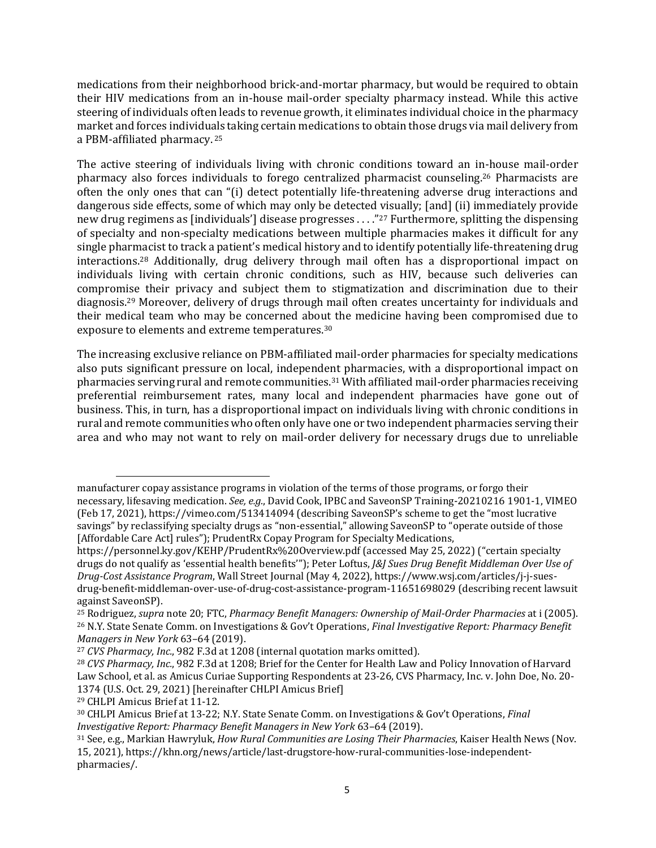medications from their neighborhood brick-and-mortar pharmacy, but would be required to obtain their HIV medications from an in-house mail-order specialty pharmacy instead. While this active steering of individuals often leads to revenue growth, it eliminates individual choice in the pharmacy market and forces individuals taking certain medications to obtain those drugs via mail delivery from a PBM-affiliated pharmacy. 25

The active steering of individuals living with chronic conditions toward an in-house mail-order pharmacy also forces individuals to forego centralized pharmacist counseling. <sup>26</sup> Pharmacists are often the only ones that can "(i) detect potentially life-threatening adverse drug interactions and dangerous side effects, some of which may only be detected visually; [and] (ii) immediately provide new drug regimens as [individuals'] disease progresses . . . ."<sup>27</sup> Furthermore, splitting the dispensing of specialty and non-specialty medications between multiple pharmacies makes it difficult for any single pharmacist to track a patient's medical history and to identify potentially life-threatening drug interactions.<sup>28</sup> Additionally, drug delivery through mail often has a disproportional impact on individuals living with certain chronic conditions, such as HIV, because such deliveries can compromise their privacy and subject them to stigmatization and discrimination due to their diagnosis. <sup>29</sup> Moreover, delivery of drugs through mail often creates uncertainty for individuals and their medical team who may be concerned about the medicine having been compromised due to exposure to elements and extreme temperatures. 30

The increasing exclusive reliance on PBM-affiliated mail-order pharmacies for specialty medications also puts significant pressure on local, independent pharmacies, with a disproportional impact on pharmacies serving rural and remote communities. <sup>31</sup> With affiliated mail-order pharmacies receiving preferential reimbursement rates, many local and independent pharmacies have gone out of business. This, in turn, has a disproportional impact on individuals living with chronic conditions in rural and remote communities who often only have one or two independent pharmacies serving their area and who may not want to rely on mail-order delivery for necessary drugs due to unreliable

manufacturer copay assistance programs in violation of the terms of those programs, or forgo their necessary, lifesaving medication. *See, e.g.*, David Cook, IPBC and SaveonSP Training-20210216 1901-1, VIMEO (Feb 17, 2021), https://vimeo.com/513414094 (describing SaveonSP's scheme to get the "most lucrative savings" by reclassifying specialty drugs as "non-essential," allowing SaveonSP to "operate outside of those [Affordable Care Act] rules"); PrudentRx Copay Program for Specialty Medications,

https://personnel.ky.gov/KEHP/PrudentRx%20Overview.pdf (accessed May 25, 2022) ("certain specialty drugs do not qualify as 'essential health benefits'"); Peter Loftus, *J&J Sues Drug Benefit Middleman Over Use of Drug-Cost Assistance Program*, Wall Street Journal (May 4, 2022), https://www.wsj.com/articles/j-j-suesdrug-benefit-middleman-over-use-of-drug-cost-assistance-program-11651698029 (describing recent lawsuit against SaveonSP).

<sup>25</sup> Rodriguez, *supra* note 20; FTC, *Pharmacy Benefit Managers: Ownership of Mail-Order Pharmacies* at i (2005). <sup>26</sup> N.Y. State Senate Comm. on Investigations & Gov't Operations, *Final Investigative Report: Pharmacy Benefit Managers in New York* 63–64 (2019).

<sup>27</sup> *CVS Pharmacy, Inc.*, 982 F.3d at 1208 (internal quotation marks omitted).

<sup>28</sup> *CVS Pharmacy, Inc.*, 982 F.3d at 1208; Brief for the Center for Health Law and Policy Innovation of Harvard Law School, et al. as Amicus Curiae Supporting Respondents at 23-26, CVS Pharmacy, Inc. v. John Doe, No. 20- 1374 (U.S. Oct. 29, 2021) [hereinafter CHLPI Amicus Brief]

<sup>29</sup> CHLPI Amicus Brief at 11-12.

<sup>30</sup> CHLPI Amicus Brief at 13-22; N.Y. State Senate Comm. on Investigations & Gov't Operations, *Final Investigative Report: Pharmacy Benefit Managers in New York* 63–64 (2019).

<sup>31</sup> See, e.g., Markian Hawryluk, *How Rural Communities are Losing Their Pharmacies*, Kaiser Health News (Nov. 15, 2021), https://khn.org/news/article/last-drugstore-how-rural-communities-lose-independentpharmacies/.